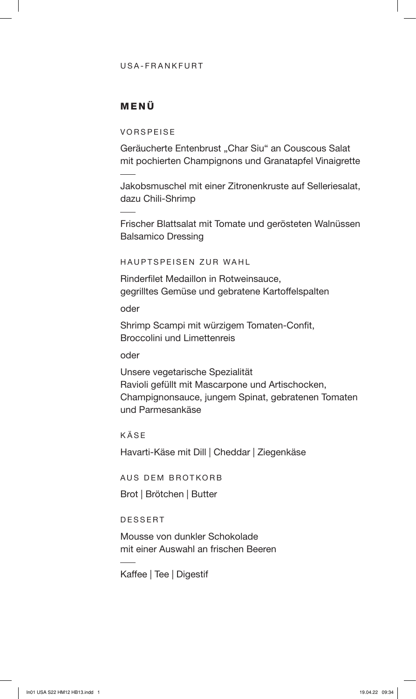#### USA-FRANKFURT

## MENÜ

VORSPEISE

Geräucherte Entenbrust "Char Siu" an Couscous Salat mit pochierten Champignons und Granatapfel Vinaigrette

Jakobsmuschel mit einer Zitronenkruste auf Selleriesalat, dazu Chili-Shrimp

Frischer Blattsalat mit Tomate und gerösteten Walnüssen Balsamico Dressing

HAUPTSPEISEN ZUR WAHL

Rinderfilet Medaillon in Rotweinsauce, gegrilltes Gemüse und gebratene Kartoffelspalten

oder

Shrimp Scampi mit würzigem Tomaten-Confit, Broccolini und Limettenreis

oder

Unsere vegetarische Spezialität Ravioli gefüllt mit Mascarpone und Artischocken, Champignonsauce, jungem Spinat, gebratenen Tomaten und Parmesankäse

KÄSE

Havarti-Käse mit Dill | Cheddar | Ziegenkäse

AUS DEM BROTKORB

Brot | Brötchen | Butter

DESSERT

Mousse von dunkler Schokolade mit einer Auswahl an frischen Beeren

Kaffee | Tee | Digestif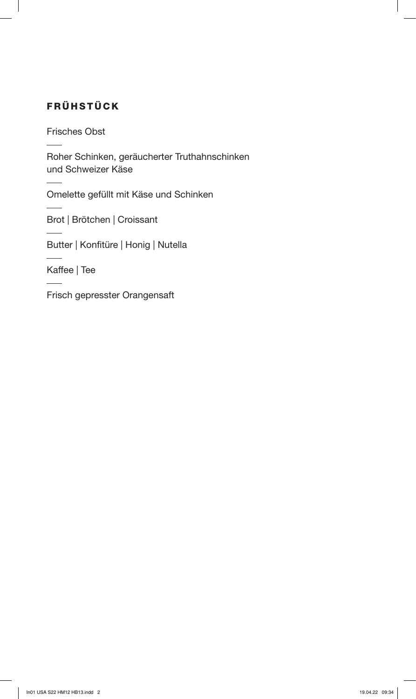# FRÜHSTÜCK

Frisches Obst

Roher Schinken, geräucherter Truthahnschinken und Schweizer Käse

Omelette gefüllt mit Käse und Schinken

Brot | Brötchen | Croissant

Butter | Konfitüre | Honig | Nutella

Kaffee | Tee

Frisch gepresster Orangensaft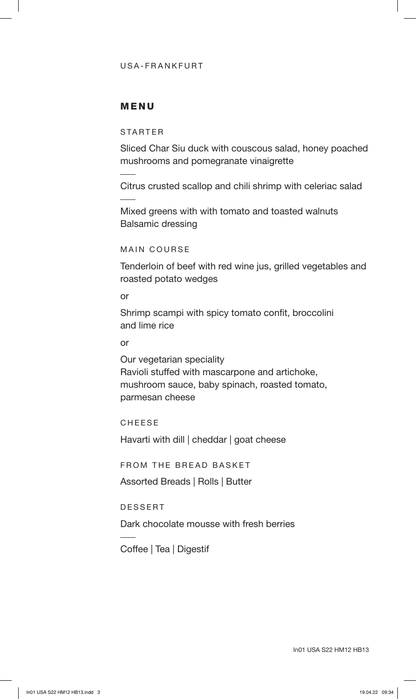### USA-FRANKFURT

### MENU

### STARTER

Sliced Char Siu duck with couscous salad, honey poached mushrooms and pomegranate vinaigrette

Citrus crusted scallop and chili shrimp with celeriac salad

Mixed greens with with tomato and toasted walnuts Balsamic dressing

#### MAIN COURSE

Tenderloin of beef with red wine jus, grilled vegetables and roasted potato wedges

#### or

Shrimp scampi with spicy tomato confit, broccolini and lime rice

#### or

Our vegetarian speciality Ravioli stuffed with mascarpone and artichoke, mushroom sauce, baby spinach, roasted tomato, parmesan cheese

CHEESE

Havarti with dill | cheddar | goat cheese

FROM THE BREAD BASKET

Assorted Breads | Rolls | Butter

### DESSERT

Dark chocolate mousse with fresh berries

Coffee | Tea | Digestif

In01 USA S22 HM12 HB13